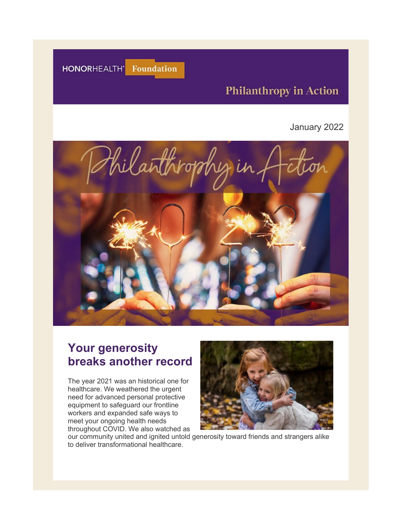HONORHEALTH' Foundation

# **Philanthropy in Action**

#### January 2022



# **Your generosity breaks another record**

The year 2021 was an historical one for healthcare. We weathered the urgent need for advanced personal protective equipment to safeguard our frontline workers and expanded safe ways to meet your ongoing health needs throughout COVID. We also watched as



our community united and ignited untold generosity toward friends and strangers alike to deliver transformational healthcare.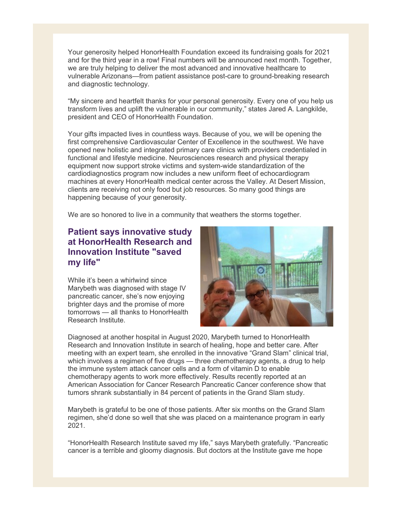Your generosity helped HonorHealth Foundation exceed its fundraising goals for 2021 and for the third year in a row! Final numbers will be announced next month. Together, we are truly helping to deliver the most advanced and innovative healthcare to vulnerable Arizonans—from patient assistance post-care to ground-breaking research and diagnostic technology.

"My sincere and heartfelt thanks for your personal generosity. Every one of you help us transform lives and uplift the vulnerable in our community," states Jared A. Langkilde, president and CEO of HonorHealth Foundation.

Your gifts impacted lives in countless ways. Because of you, we will be opening the first comprehensive Cardiovascular Center of Excellence in the southwest. We have opened new holistic and integrated primary care clinics with providers credentialed in functional and lifestyle medicine. Neurosciences research and physical therapy equipment now support stroke victims and system-wide standardization of the cardiodiagnostics program now includes a new uniform fleet of echocardiogram machines at every HonorHealth medical center across the Valley. At Desert Mission, clients are receiving not only food but job resources. So many good things are happening because of your generosity.

We are so honored to live in a community that weathers the storms together.

# **Patient says innovative study at HonorHealth Research and Innovation Institute "saved my life"**

While it's been a whirlwind since Marybeth was diagnosed with stage IV pancreatic cancer, she's now enjoying brighter days and the promise of more tomorrows — all thanks to HonorHealth Research Institute.



Diagnosed at another hospital in August 2020, Marybeth turned to HonorHealth Research and Innovation Institute in search of healing, hope and better care. After meeting with an expert team, she enrolled in the innovative "Grand Slam" clinical trial, which involves a regimen of five drugs — three chemotherapy agents, a drug to help the immune system attack cancer cells and a form of vitamin D to enable chemotherapy agents to work more effectively. Results recently reported at an American Association for Cancer Research Pancreatic Cancer conference show that tumors shrank substantially in 84 percent of patients in the Grand Slam study.

Marybeth is grateful to be one of those patients. After six months on the Grand Slam regimen, she'd done so well that she was placed on a maintenance program in early 2021.

"HonorHealth Research Institute saved my life," says Marybeth gratefully. "Pancreatic cancer is a terrible and gloomy diagnosis. But doctors at the Institute gave me hope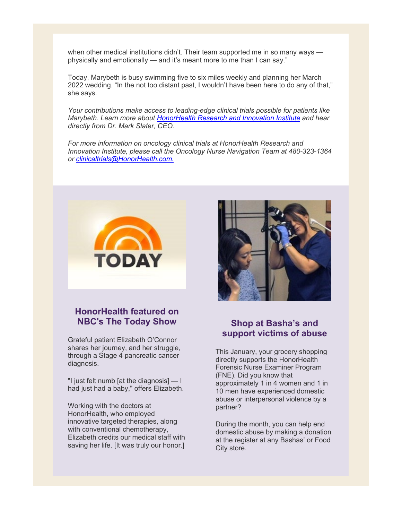when other medical institutions didn't. Their team supported me in so many ways physically and emotionally — and it's meant more to me than I can say."

Today, Marybeth is busy swimming five to six miles weekly and planning her March 2022 wedding. "In the not too distant past, I wouldn't have been here to do any of that," she says.

*Your contributions make access to leading-edge clinical trials possible for patients like Marybeth. Learn more about [HonorHealth Research and Innovation Institute](https://urldefense.com/v3/__https:/eml-pusa01.app.blackbaud.net/intv2/j/9A797659-3256-48A5-B6B8-356000FDB7D9/r/9A797659-3256-48A5-B6B8-356000FDB7D9_a5f41855-e352-47d1-82aa-0c6438f4c1fe/l/4419B1D1-4300-4B61-AB67-FBD67AEDD254/c__;!!AtGvImiT!kG5rwbIcDlBQvpNu8VmCb0uxrjmnm5WjNmQarr_2HU0DN18NXWkZUdsAbXTj_hPdHg$) and hear directly from Dr. Mark Slater, CEO.*

*For more information on oncology clinical trials at HonorHealth Research and Innovation Institute, please call the Oncology Nurse Navigation Team at 480-323-1364 or [clinicaltrials@HonorHealth.com.](mailto:clinicaltrials@HonorHealth.com)*



### **HonorHealth featured on NBC's The Today Show**

Grateful patient Elizabeth O'Connor shares her journey, and her struggle, through a Stage 4 pancreatic cancer diagnosis.

"I just felt numb [at the diagnosis]  $-1$ had just had a baby," offers Elizabeth.

Working with the doctors at HonorHealth, who employed innovative targeted therapies, along with conventional chemotherapy, Elizabeth credits our medical staff with saving her life. [It was truly our honor.]



#### **Shop at Basha's and support victims of abuse**

This January, your grocery shopping directly supports the HonorHealth Forensic Nurse Examiner Program (FNE). Did you know that approximately 1 in 4 women and 1 in 10 men have experienced domestic abuse or interpersonal violence by a partner?

During the month, you can help end domestic abuse by making a donation at the register at any Bashas' or Food City store.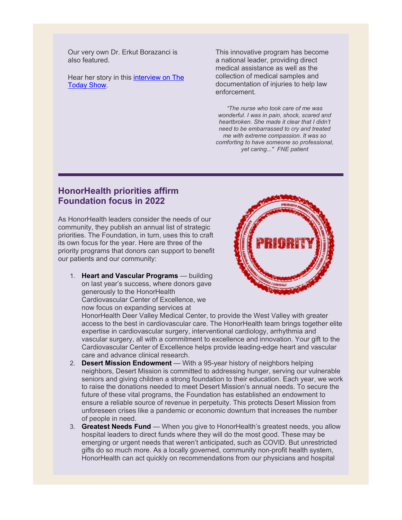Our very own Dr. Erkut Borazanci is also featured.

Hear her story in this [interview on The](https://urldefense.com/v3/__https:/eml-pusa01.app.blackbaud.net/intv2/j/9A797659-3256-48A5-B6B8-356000FDB7D9/r/9A797659-3256-48A5-B6B8-356000FDB7D9_a5f41855-e352-47d1-82aa-0c6438f4c1fe/l/917EE449-CD8D-426B-8212-2F6C4BB8378C/c__;!!AtGvImiT!kG5rwbIcDlBQvpNu8VmCb0uxrjmnm5WjNmQarr_2HU0DN18NXWkZUdsAbXSUMS544A$)  [Today Show.](https://urldefense.com/v3/__https:/eml-pusa01.app.blackbaud.net/intv2/j/9A797659-3256-48A5-B6B8-356000FDB7D9/r/9A797659-3256-48A5-B6B8-356000FDB7D9_a5f41855-e352-47d1-82aa-0c6438f4c1fe/l/917EE449-CD8D-426B-8212-2F6C4BB8378C/c__;!!AtGvImiT!kG5rwbIcDlBQvpNu8VmCb0uxrjmnm5WjNmQarr_2HU0DN18NXWkZUdsAbXSUMS544A$)

This innovative program has become a national leader, providing direct medical assistance as well as the collection of medical samples and documentation of injuries to help law enforcement.

*"The nurse who took care of me was wonderful. I was in pain, shock, scared and heartbroken. She made it clear that I didn't need to be embarrassed to cry and treated me with extreme compassion. It was so comforting to have someone so professional, yet caring..." FNE patient*

# **HonorHealth priorities affirm Foundation focus in 2022**

As HonorHealth leaders consider the needs of our community, they publish an annual list of strategic priorities. The Foundation, in turn, uses this to craft its own focus for the year. Here are three of the priority programs that donors can support to benefit our patients and our community:

1. **[Heart and Vascular Programs](https://urldefense.com/v3/__https:/eml-pusa01.app.blackbaud.net/intv2/j/9A797659-3256-48A5-B6B8-356000FDB7D9/r/9A797659-3256-48A5-B6B8-356000FDB7D9_a5f41855-e352-47d1-82aa-0c6438f4c1fe/l/09FFA5AE-A892-4064-AD72-4CC9F6B08871/c__;!!AtGvImiT!kG5rwbIcDlBQvpNu8VmCb0uxrjmnm5WjNmQarr_2HU0DN18NXWkZUdsAbXR6FNUMxw$)** — building on last year's success, where donors gave generously to the HonorHealth Cardiovascular Center of Excellence, we now focus on expanding services at

HonorHealth Deer Valley Medical Center, to provide the West Valley with greater access to the best in cardiovascular care. The HonorHealth team brings together elite expertise in cardiovascular surgery, interventional cardiology, arrhythmia and vascular surgery, all with a commitment to excellence and innovation. Your gift to the Cardiovascular Center of Excellence helps provide leading-edge heart and vascular care and advance clinical research.

- 2. **[Desert Mission Endowment](https://urldefense.com/v3/__https:/eml-pusa01.app.blackbaud.net/intv2/j/9A797659-3256-48A5-B6B8-356000FDB7D9/r/9A797659-3256-48A5-B6B8-356000FDB7D9_a5f41855-e352-47d1-82aa-0c6438f4c1fe/l/FEEE66F2-0FB1-4F87-B0CC-9996BD4CCA15/c__;!!AtGvImiT!kG5rwbIcDlBQvpNu8VmCb0uxrjmnm5WjNmQarr_2HU0DN18NXWkZUdsAbXRUT0BmvA$)** With a 95-year history of neighbors helping neighbors, Desert Mission is committed to addressing hunger, serving our vulnerable seniors and giving children a strong foundation to their education. Each year, we work to raise the donations needed to meet Desert Mission's annual needs. To secure the future of these vital programs, the Foundation has established an endowment to ensure a reliable source of revenue in perpetuity. This protects Desert Mission from unforeseen crises like a pandemic or economic downturn that increases the number of people in need.
- 3. **[Greatest Needs Fund](https://urldefense.com/v3/__https:/eml-pusa01.app.blackbaud.net/intv2/j/9A797659-3256-48A5-B6B8-356000FDB7D9/r/9A797659-3256-48A5-B6B8-356000FDB7D9_a5f41855-e352-47d1-82aa-0c6438f4c1fe/l/6AA4815B-8DB6-430B-AC41-1F25BBE145C4/c__;!!AtGvImiT!kG5rwbIcDlBQvpNu8VmCb0uxrjmnm5WjNmQarr_2HU0DN18NXWkZUdsAbXSv8Zc5oQ$)** When you give to HonorHealth's greatest needs, you allow hospital leaders to direct funds where they will do the most good. These may be emerging or urgent needs that weren't anticipated, such as COVID. But unrestricted gifts do so much more. As a locally governed, community non-profit health system, HonorHealth can act quickly on recommendations from our physicians and hospital

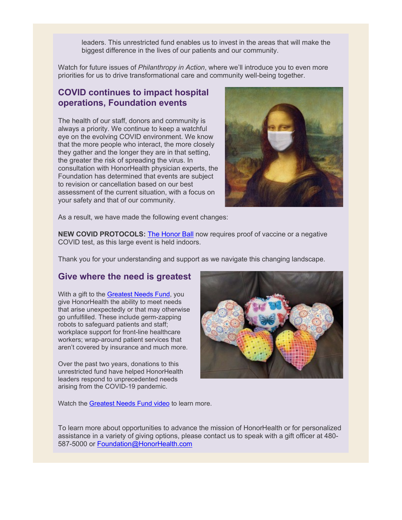leaders. This unrestricted fund enables us to invest in the areas that will make the biggest difference in the lives of our patients and our community.

Watch for future issues of *Philanthropy in Action*, where we'll introduce you to even more priorities for us to drive transformational care and community well-being together.

### **COVID continues to impact hospital operations, Foundation events**

The health of our staff, donors and community is always a priority. We continue to keep a watchful eye on the evolving COVID environment. We know that the more people who interact, the more closely they gather and the longer they are in that setting, the greater the risk of spreading the virus. In consultation with HonorHealth physician experts, the Foundation has determined that events are subject to revision or cancellation based on our best assessment of the current situation, with a focus on your safety and that of our community.



As a result, we have made the following event changes:

**NEW COVID PROTOCOLS:** [The Honor Ball](https://urldefense.com/v3/__https:/eml-pusa01.app.blackbaud.net/intv2/j/9A797659-3256-48A5-B6B8-356000FDB7D9/r/9A797659-3256-48A5-B6B8-356000FDB7D9_a5f41855-e352-47d1-82aa-0c6438f4c1fe/l/38458A42-0986-4AA6-94F3-4062048A6543/c__;!!AtGvImiT!kG5rwbIcDlBQvpNu8VmCb0uxrjmnm5WjNmQarr_2HU0DN18NXWkZUdsAbXTXsV-dgA$) now requires proof of vaccine or a negative COVID test, as this large event is held indoors.

Thank you for your understanding and support as we navigate this changing landscape.

# **Give where the need is greatest**

With a gift to the [Greatest Needs Fund,](https://urldefense.com/v3/__https:/eml-pusa01.app.blackbaud.net/intv2/j/9A797659-3256-48A5-B6B8-356000FDB7D9/r/9A797659-3256-48A5-B6B8-356000FDB7D9_a5f41855-e352-47d1-82aa-0c6438f4c1fe/l/9CD6EDB5-9FBC-41A0-B1E5-8F1968B6E1F1/c__;!!AtGvImiT!kG5rwbIcDlBQvpNu8VmCb0uxrjmnm5WjNmQarr_2HU0DN18NXWkZUdsAbXTQIHMBaw$) you give HonorHealth the ability to meet needs that arise unexpectedly or that may otherwise go unfulfilled. These include germ-zapping robots to safeguard patients and staff; workplace support for front-line healthcare workers; wrap-around patient services that aren't covered by insurance and much more.

Over the past two years, donations to this unrestricted fund have helped HonorHealth leaders respond to unprecedented needs arising from the COVID-19 pandemic.



Watch the [Greatest Needs Fund video](https://urldefense.com/v3/__https:/eml-pusa01.app.blackbaud.net/intv2/j/9A797659-3256-48A5-B6B8-356000FDB7D9/r/9A797659-3256-48A5-B6B8-356000FDB7D9_a5f41855-e352-47d1-82aa-0c6438f4c1fe/l/2BCA00C4-C11F-4779-8936-9FDEA31B7D92/c__;!!AtGvImiT!kG5rwbIcDlBQvpNu8VmCb0uxrjmnm5WjNmQarr_2HU0DN18NXWkZUdsAbXQ_elx8uw$) to learn more.

To learn more about opportunities to advance the mission of HonorHealth or for personalized assistance in a variety of giving options, please contact us to speak with a gift officer at 480- 587-5000 or [Foundation@HonorHealth.com](mailto:Foundation@HonorHealth.com)